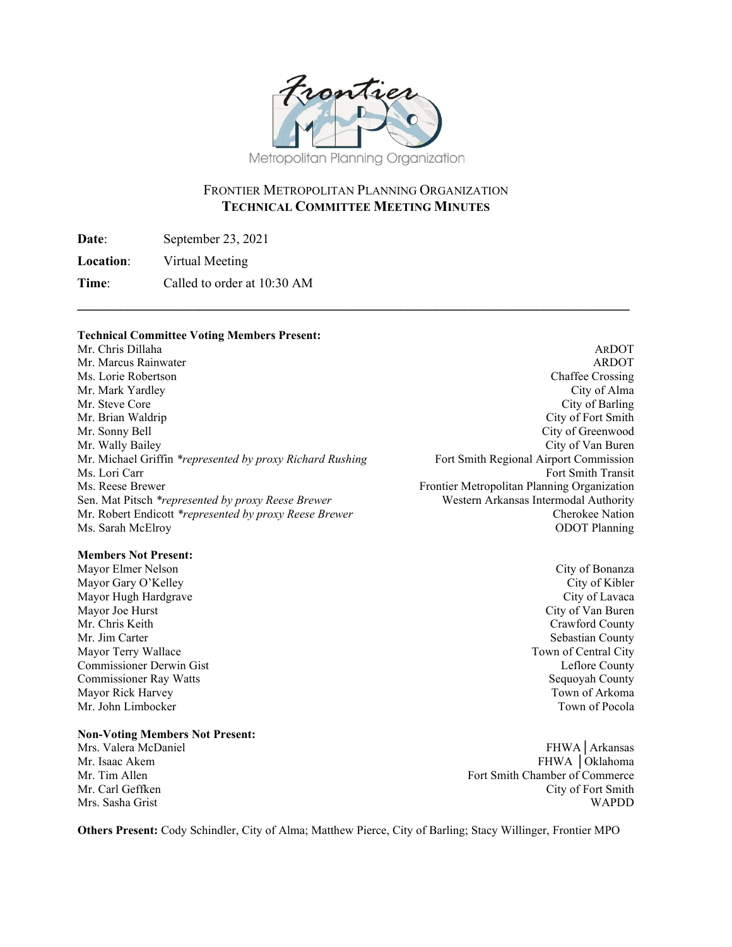

## FRONTIER METROPOLITAN PLANNING ORGANIZATION **TECHNICAL COMMITTEE MEETING MINUTES**

**\_\_\_\_\_\_\_\_\_\_\_\_\_\_\_\_\_\_\_\_\_\_\_\_\_\_\_\_\_\_\_\_\_\_\_\_\_\_\_\_\_\_\_\_\_\_\_\_\_\_\_\_\_\_\_\_\_\_\_\_\_\_\_\_\_\_\_\_\_\_\_\_\_\_\_\_\_**

**Date**: September 23, 2021

**Location**: Virtual Meeting

**Time**: Called to order at 10:30 AM

#### **Technical Committee Voting Members Present:**

Mr. Chris Dillaha ARDOT Mr. Marcus Rainwater **ARDOT** ARDOT Ms. Lorie Robertson **Chaffee Crossing** Chaffee Crossing Mr. Mark Yardley City of Alma Mr. Steve Core Core Contents of Barling City of Barling City of Barling City of Barling Mr. Brian Waldrip City of Fort Smith Mr. Sonny Bell City of Greenwood Mr. Wally Bailey<br>Mr. Michael Griffin *\*represented by proxy Richard Rushing* Fort Smith Regional Airport Commission Mr. Michael Griffin *\*represented by proxy Richard Rushing* Ms. Lori Carr Fort Smith Transit Ms. Reese Brewer Frontier Metropolitan Planning Organization Sen. Mat Pitsch *\*represented by proxy Reese Brewer* Western Arkansas Intermodal Authority Mr. Robert Endicott *\*represented by proxy Reese Brewer* Cherokee Nation Ms. Sarah McElroy ODOT Planning

#### **Members Not Present:**

Mayor Gary O'Kelley City of Kibler Mayor Hugh Hardgrave City of Lavaca Mayor Joe Hurst City of Van Buren<br>Mr. Chris Keith Crawford County Mr. Jim Carter Sebastian County Mayor Terry Wallace Town of Central City Commissioner Derwin Gist Leflore County Commissioner Ray Watts Sequoyah County Mayor Rick Harvey Town of Arkoma<br>Mr. John Limbocker Town of Pocola Mr. John Limbocker

#### **Non-Voting Members Not Present:**

Mrs. Valera McDaniel FHWA│Arkansas Mr. Isaac Akem FHWA │Oklahoma Mr. Tim Allen Fort Smith Chamber of Commerce Mr. Carl Geffken City of Fort Smith Mrs. Sasha Grist WAPDD

**Others Present:** Cody Schindler, City of Alma; Matthew Pierce, City of Barling; Stacy Willinger, Frontier MPO

Mayor Elmer Nelson City of Bonanza Crawford County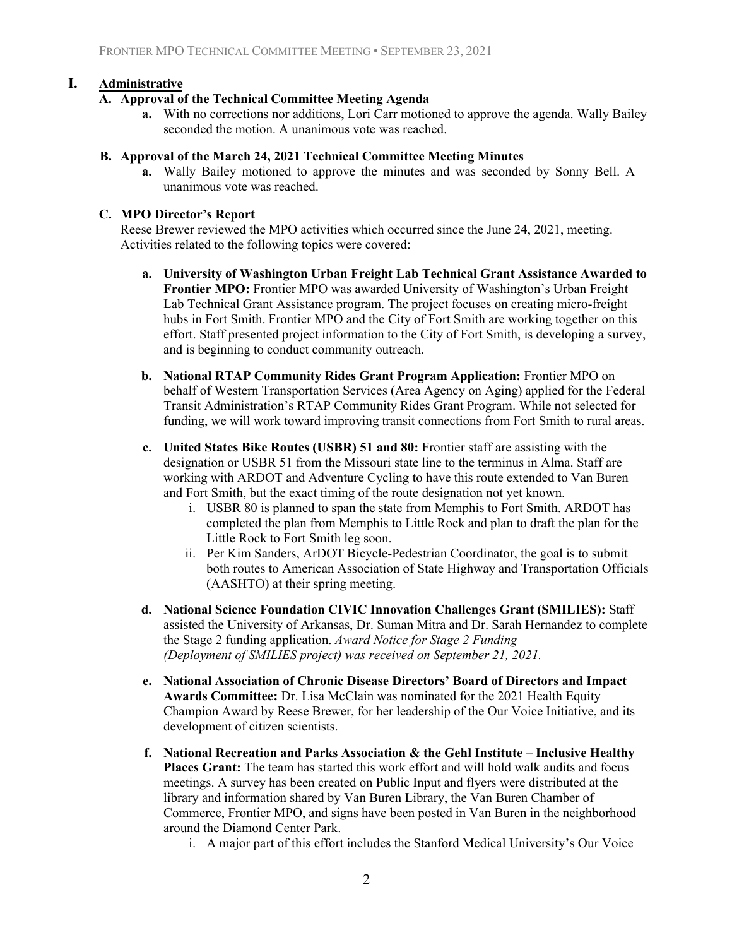## **I. Administrative**

## **A. Approval of the Technical Committee Meeting Agenda**

**a.** With no corrections nor additions, Lori Carr motioned to approve the agenda. Wally Bailey seconded the motion. A unanimous vote was reached.

#### **B. Approval of the March 24, 2021 Technical Committee Meeting Minutes**

**a.** Wally Bailey motioned to approve the minutes and was seconded by Sonny Bell. A unanimous vote was reached.

## **C. MPO Director's Report**

Reese Brewer reviewed the MPO activities which occurred since the June 24, 2021, meeting. Activities related to the following topics were covered:

- **a. University of Washington Urban Freight Lab Technical Grant Assistance Awarded to Frontier MPO:** Frontier MPO was awarded University of Washington's Urban Freight Lab Technical Grant Assistance program. The project focuses on creating micro-freight hubs in Fort Smith. Frontier MPO and the City of Fort Smith are working together on this effort. Staff presented project information to the City of Fort Smith, is developing a survey, and is beginning to conduct community outreach.
- **b. National RTAP Community Rides Grant Program Application:** Frontier MPO on behalf of Western Transportation Services (Area Agency on Aging) applied for the Federal Transit Administration's RTAP Community Rides Grant Program. While not selected for funding, we will work toward improving transit connections from Fort Smith to rural areas.
- **c. United States Bike Routes (USBR) 51 and 80:** Frontier staff are assisting with the designation or USBR 51 from the Missouri state line to the terminus in Alma. Staff are working with ARDOT and Adventure Cycling to have this route extended to Van Buren and Fort Smith, but the exact timing of the route designation not yet known.
	- i. USBR 80 is planned to span the state from Memphis to Fort Smith. ARDOT has completed the plan from Memphis to Little Rock and plan to draft the plan for the Little Rock to Fort Smith leg soon.
	- ii. Per Kim Sanders, ArDOT Bicycle-Pedestrian Coordinator, the goal is to submit both routes to American Association of State Highway and Transportation Officials (AASHTO) at their spring meeting.
- **d. National Science Foundation CIVIC Innovation Challenges Grant (SMILIES):** Staff assisted the University of Arkansas, Dr. Suman Mitra and Dr. Sarah Hernandez to complete the Stage 2 funding application. *Award Notice for Stage 2 Funding (Deployment of SMILIES project) was received on September 21, 2021.*
- **e. National Association of Chronic Disease Directors' Board of Directors and Impact Awards Committee:** Dr. Lisa McClain was nominated for the 2021 Health Equity Champion Award by Reese Brewer, for her leadership of the Our Voice Initiative, and its development of citizen scientists.
- **f. National Recreation and Parks Association & the Gehl Institute Inclusive Healthy Places Grant:** The team has started this work effort and will hold walk audits and focus meetings. A survey has been created on Public Input and flyers were distributed at the library and information shared by Van Buren Library, the Van Buren Chamber of Commerce, Frontier MPO, and signs have been posted in Van Buren in the neighborhood around the Diamond Center Park.
	- i. A major part of this effort includes the Stanford Medical University's Our Voice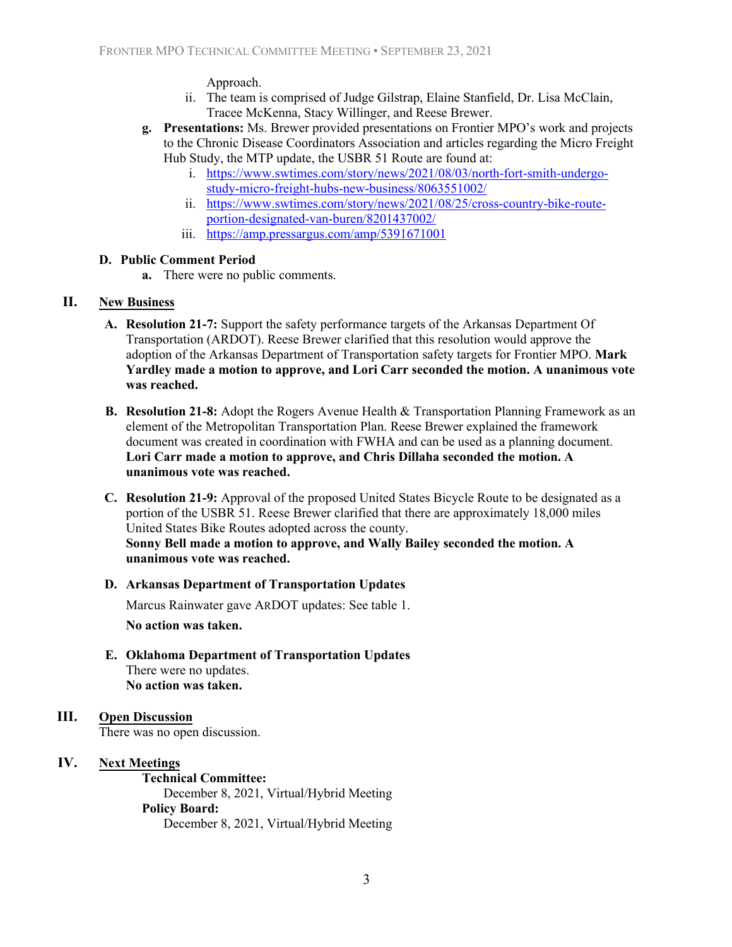#### Approach.

- ii. The team is comprised of Judge Gilstrap, Elaine Stanfield, Dr. Lisa McClain, Tracee McKenna, Stacy Willinger, and Reese Brewer.
- **g. Presentations:** Ms. Brewer provided presentations on Frontier MPO's work and projects to the Chronic Disease Coordinators Association and articles regarding the Micro Freight Hub Study, the MTP update, the USBR 51 Route are found at:
	- i. [https://www.swtimes.com/story/news/2021/08/03/north-fort-smith-undergo](https://www.swtimes.com/story/news/2021/08/03/north-fort-smith-undergo-study-micro-freight-hubs-new-business/8063551002/)[study-micro-freight-hubs-new-business/8063551002/](https://www.swtimes.com/story/news/2021/08/03/north-fort-smith-undergo-study-micro-freight-hubs-new-business/8063551002/)
	- ii. [https://www.swtimes.com/story/news/2021/08/25/cross-country-bike-route](https://www.swtimes.com/story/news/2021/08/25/cross-country-bike-route-portion-designated-van-buren/8201437002/)[portion-designated-van-buren/8201437002/](https://www.swtimes.com/story/news/2021/08/25/cross-country-bike-route-portion-designated-van-buren/8201437002/)
	- iii. <https://amp.pressargus.com/amp/5391671001>

#### **D. Public Comment Period**

**a.** There were no public comments.

## **II. New Business**

- **A. Resolution 21-7:** Support the safety performance targets of the Arkansas Department Of Transportation (ARDOT). Reese Brewer clarified that this resolution would approve the adoption of the Arkansas Department of Transportation safety targets for Frontier MPO. **Mark Yardley made a motion to approve, and Lori Carr seconded the motion. A unanimous vote was reached.**
- **B. Resolution 21-8:** Adopt the Rogers Avenue Health & Transportation Planning Framework as an element of the Metropolitan Transportation Plan. Reese Brewer explained the framework document was created in coordination with FWHA and can be used as a planning document. **Lori Carr made a motion to approve, and Chris Dillaha seconded the motion. A unanimous vote was reached.**
- **C. Resolution 21-9:** Approval of the proposed United States Bicycle Route to be designated as a portion of the USBR 51. Reese Brewer clarified that there are approximately 18,000 miles United States Bike Routes adopted across the county. **Sonny Bell made a motion to approve, and Wally Bailey seconded the motion. A unanimous vote was reached.**

#### **D. Arkansas Department of Transportation Updates**

Marcus Rainwater gave ARDOT updates: See table 1.

**No action was taken.**

**E. Oklahoma Department of Transportation Updates** There were no updates. **No action was taken.**

## **III. Open Discussion**

There was no open discussion.

#### **IV. Next Meetings**

**Technical Committee:** December 8, 2021, Virtual/Hybrid Meeting **Policy Board:**  December 8, 2021, Virtual/Hybrid Meeting